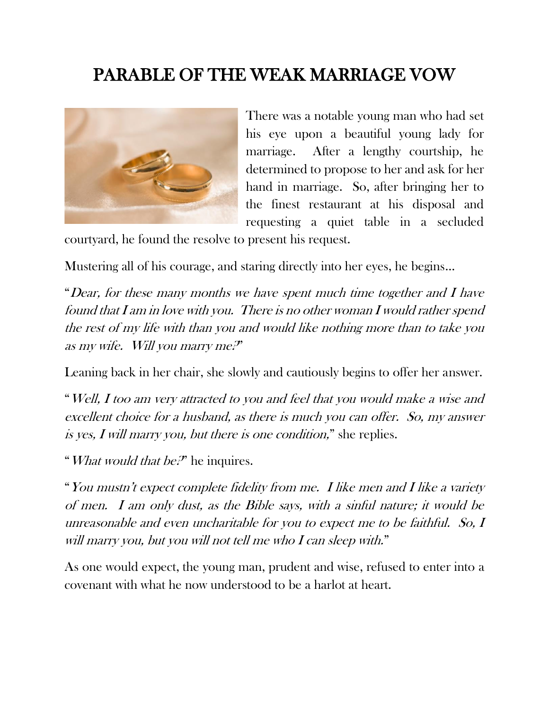## PARABLE OF THE WEAK MARRIAGE VOW



There was a notable young man who had set his eye upon a beautiful young lady for marriage. After a lengthy courtship, he determined to propose to her and ask for her hand in marriage. So, after bringing her to the finest restaurant at his disposal and requesting a quiet table in a secluded

courtyard, he found the resolve to present his request.

Mustering all of his courage, and staring directly into her eyes, he begins…

"Dear, for these many months we have spent much time together and  $I$  have found that I am in love with you. There is no other woman I would rather spend the rest of my life with than you and would like nothing more than to take you as my wife. Will you marry me?"

Leaning back in her chair, she slowly and cautiously begins to offer her answer.

"Well, I too am very attracted to you and feel that you would make a wise and excellent choice for a husband, as there is much you can offer. So, my answer is yes, I will marry you, but there is one condition," she replies.

"What would that be.<sup> $\mathcal{P}'$ </sup> he inquires.

"You mustn't expect complete fidelity from me. I like men and I like a variety of men. I am only dust, as the Bible says, with a sinful nature; it would be unreasonable and even uncharitable for you to expect me to be faithful. So, I will marry you, but you will not tell me who I can sleep with."

As one would expect, the young man, prudent and wise, refused to enter into a covenant with what he now understood to be a harlot at heart.